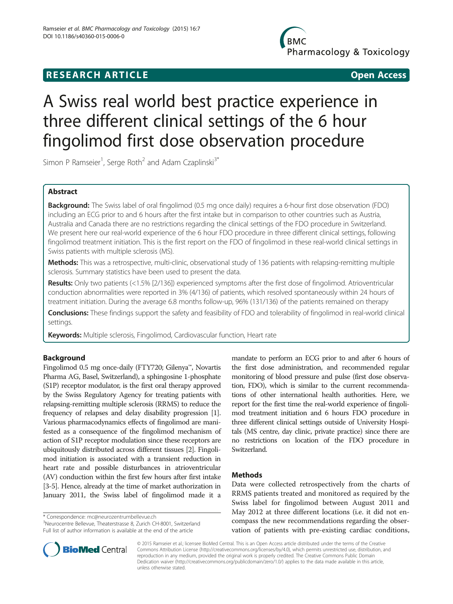## **RESEARCH ARTICLE CONSUMING A RESEARCH ARTICLE**

**BMC** Pharmacology & Toxicology

# A Swiss real world best practice experience in three different clinical settings of the 6 hour fingolimod first dose observation procedure

Simon P Ramseier<sup>1</sup>, Serge Roth<sup>2</sup> and Adam Czaplinski<sup>3\*</sup>

## Abstract

Background: The Swiss label of oral fingolimod (0.5 mg once daily) requires a 6-hour first dose observation (FDO) including an ECG prior to and 6 hours after the first intake but in comparison to other countries such as Austria, Australia and Canada there are no restrictions regarding the clinical settings of the FDO procedure in Switzerland. We present here our real-world experience of the 6 hour FDO procedure in three different clinical settings, following fingolimod treatment initiation. This is the first report on the FDO of fingolimod in these real-world clinical settings in Swiss patients with multiple sclerosis (MS).

Methods: This was a retrospective, multi-clinic, observational study of 136 patients with relapsing-remitting multiple sclerosis. Summary statistics have been used to present the data.

Results: Only two patients (<1.5% [2/136]) experienced symptoms after the first dose of fingolimod. Atrioventricular conduction abnormalities were reported in 3% (4/136) of patients, which resolved spontaneously within 24 hours of treatment initiation. During the average 6.8 months follow-up, 96% (131/136) of the patients remained on therapy

Conclusions: These findings support the safety and feasibility of FDO and tolerability of fingolimod in real-world clinical settings.

Keywords: Multiple sclerosis, Fingolimod, Cardiovascular function, Heart rate

## Background

Fingolimod 0.5 mg once-daily (FTY720; Gilenya™, Novartis Pharma AG, Basel, Switzerland), a sphingosine 1-phosphate (S1P) receptor modulator, is the first oral therapy approved by the Swiss Regulatory Agency for treating patients with relapsing-remitting multiple sclerosis (RRMS) to reduce the frequency of relapses and delay disability progression [[1](#page-3-0)]. Various pharmacodynamics effects of fingolimod are manifested as a consequence of the fingolimod mechanism of action of S1P receptor modulation since these receptors are ubiquitously distributed across different tissues [[2](#page-3-0)]. Fingolimod initiation is associated with a transient reduction in heart rate and possible disturbances in atrioventricular (AV) conduction within the first few hours after first intake [[3](#page-3-0)-[5\]](#page-3-0). Hence, already at the time of market authorization in January 2011, the Swiss label of fingolimod made it a

\* Correspondence: [mc@neurozentrumbellevue.ch](mailto:mc@neurozentrumbellevue.ch) <sup>3</sup>

<sup>3</sup>Neurocentre Bellevue, Theaterstrasse 8, Zurich CH-8001, Switzerland Full list of author information is available at the end of the article

mandate to perform an ECG prior to and after 6 hours of the first dose administration, and recommended regular monitoring of blood pressure and pulse (first dose observation, FDO), which is similar to the current recommendations of other international health authorities. Here, we report for the first time the real-world experience of fingolimod treatment initiation and 6 hours FDO procedure in three different clinical settings outside of University Hospitals (MS centre, day clinic, private practice) since there are no restrictions on location of the FDO procedure in Switzerland.

## Methods

Data were collected retrospectively from the charts of RRMS patients treated and monitored as required by the Swiss label for fingolimod between August 2011 and May 2012 at three different locations (i.e. it did not encompass the new recommendations regarding the observation of patients with pre-existing cardiac conditions,



© 2015 Ramseier et al.; licensee BioMed Central. This is an Open Access article distributed under the terms of the Creative Commons Attribution License [\(http://creativecommons.org/licenses/by/4.0\)](http://creativecommons.org/licenses/by/4.0), which permits unrestricted use, distribution, and reproduction in any medium, provided the original work is properly credited. The Creative Commons Public Domain Dedication waiver [\(http://creativecommons.org/publicdomain/zero/1.0/](http://creativecommons.org/publicdomain/zero/1.0/)) applies to the data made available in this article, unless otherwise stated.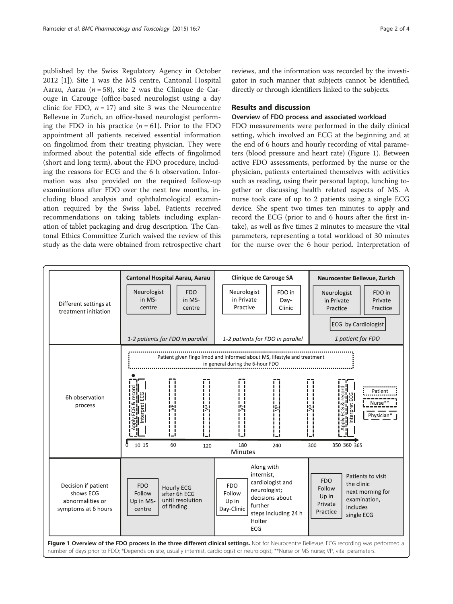<span id="page-1-0"></span>published by the Swiss Regulatory Agency in October 2012 [[1](#page-3-0)]). Site 1 was the MS centre, Cantonal Hospital Aarau, Aarau ( $n = 58$ ), site 2 was the Clinique de Carouge in Carouge (office-based neurologist using a day clinic for FDO,  $n = 17$ ) and site 3 was the Neurocentre Bellevue in Zurich, an office-based neurologist performing the FDO in his practice  $(n = 61)$ . Prior to the FDO appointment all patients received essential information on fingolimod from their treating physician. They were informed about the potential side effects of fingolimod (short and long term), about the FDO procedure, including the reasons for ECG and the 6 h observation. Information was also provided on the required follow-up examinations after FDO over the next few months, including blood analysis and ophthalmological examination required by the Swiss label. Patients received recommendations on taking tablets including explanation of tablet packaging and drug description. The Cantonal Ethics Committee Zurich waived the review of this study as the data were obtained from retrospective chart

reviews, and the information was recorded by the investigator in such manner that subjects cannot be identified, directly or through identifiers linked to the subjects.

## Results and discussion

## Overview of FDO process and associated workload

FDO measurements were performed in the daily clinical setting, which involved an ECG at the beginning and at the end of 6 hours and hourly recording of vital parameters (blood pressure and heart rate) (Figure 1). Between active FDO assessments, performed by the nurse or the physician, patients entertained themselves with activities such as reading, using their personal laptop, lunching together or discussing health related aspects of MS. A nurse took care of up to 2 patients using a single ECG device. She spent two times ten minutes to apply and record the ECG (prior to and 6 hours after the first intake), as well as five times 2 minutes to measure the vital parameters, representing a total workload of 30 minutes for the nurse over the 6 hour period. Interpretation of

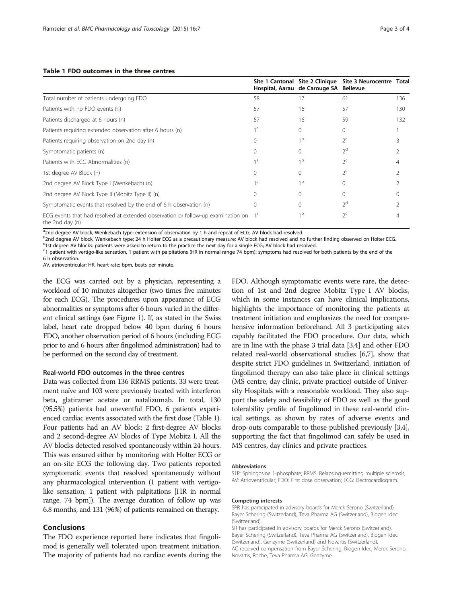|                                                                                                          |          | Site 1 Cantonal Site 2 Clinique<br>Hospital, Aarau de Carouge SA Bellevue | Site 3 Neurocentre Total |     |
|----------------------------------------------------------------------------------------------------------|----------|---------------------------------------------------------------------------|--------------------------|-----|
| Total number of patients undergoing FDO                                                                  | 58       | 17                                                                        | 61                       | 136 |
| Patients with no FDO events (n)                                                                          | 57       | 16                                                                        | 57                       | 130 |
| Patients discharged at 6 hours (n)                                                                       | 57       | 16                                                                        | 59                       | 132 |
| Patients requiring extended observation after 6 hours (n)                                                | 1 a      | 0                                                                         | $\Omega$                 |     |
| Patients requiring observation on 2nd day (n)                                                            | $\Omega$ | $\overline{1}$                                                            | $2^{\mathsf{c}}$         |     |
| Symptomatic patients (n)                                                                                 | 0        | $\Omega$                                                                  | $2^d$                    |     |
| Patients with ECG Abnormalities (n)                                                                      | 1 a      | 1 <sub>b</sub>                                                            | $2^{\circ}$              |     |
| 1st degree AV Block (n)                                                                                  | $\Omega$ | $\mathbf{0}$                                                              | $2^{\mathsf{c}}$         |     |
| 2nd degree AV Block Type I (Wenkebach) (n)                                                               | 1 a      | 1b                                                                        | $\Omega$                 |     |
| 2nd degree AV Block Type II (Mobitz Type II) (n)                                                         | 0        | 0                                                                         | $\Omega$                 |     |
| Symptomatic events that resolved by the end of 6 h observation (n)                                       | $\Omega$ | $\Omega$                                                                  | 2 <sup>d</sup>           |     |
| ECG events that had resolved at extended observation or follow-up examination on $1a$<br>the 2nd day (n) |          | 1 <sub>b</sub>                                                            | $2^{\mathsf{c}}$         |     |

<sup>a</sup>2nd degree AV block, Wenkebach type: extension of observation by 1 h and repeat of ECG; AV block had resolved.

b<br><sup>b</sup>2nd degree AV block, Wenkebach type: 24 h Holter ECG as a precautionary measure; AV block had resolved and no further finding observed on Holter ECG. <sup>c</sup>1st degree AV blocks: patients were asked to return to the practice the next day for a single ECG; AV block had resolved.

<sup>d</sup>1 patient with vertigo-like sensation, 1 patient with palpitations (HR in normal range 74 bpm): symptoms had resolved for both patients by the end of the 6 h observation.

AV, atrioventricular; HR, heart rate; bpm, beats per minute.

the ECG was carried out by a physician, representing a workload of 10 minutes altogether (two times five minutes for each ECG). The procedures upon appearance of ECG abnormalities or symptoms after 6 hours varied in the different clinical settings (see Figure [1](#page-1-0)). If, as stated in the Swiss label, heart rate dropped below 40 bpm during 6 hours FDO, another observation period of 6 hours (including ECG prior to and 6 hours after fingolimod administration) had to be performed on the second day of treatment.

### Real-world FDO outcomes in the three centres

Data was collected from 136 RRMS patients. 33 were treatment naïve and 103 were previously treated with interferon beta, glatiramer acetate or natalizumab. In total, 130 (95.5%) patients had uneventful FDO, 6 patients experienced cardiac events associated with the first dose (Table 1). Four patients had an AV block: 2 first-degree AV blocks and 2 second-degree AV blocks of Type Mobitz I. All the AV blocks detected resolved spontaneously within 24 hours. This was ensured either by monitoring with Holter ECG or an on-site ECG the following day. Two patients reported symptomatic events that resolved spontaneously without any pharmacological intervention (1 patient with vertigolike sensation, 1 patient with palpitations [HR in normal range, 74 bpm]). The average duration of follow up was 6.8 months, and 131 (96%) of patients remained on therapy.

## Conclusions

The FDO experience reported here indicates that fingolimod is generally well tolerated upon treatment initiation. The majority of patients had no cardiac events during the FDO. Although symptomatic events were rare, the detection of 1st and 2nd degree Mobitz Type I AV blocks, which in some instances can have clinical implications, highlights the importance of monitoring the patients at treatment initiation and emphasizes the need for comprehensive information beforehand. All 3 participating sites capably facilitated the FDO procedure. Our data, which are in line with the phase 3 trial data [\[3,4](#page-3-0)] and other FDO related real-world observational studies [[6,7\]](#page-3-0), show that despite strict FDO guidelines in Switzerland, initiation of fingolimod therapy can also take place in clinical settings (MS centre, day clinic, private practice) outside of University Hospitals with a reasonable workload. They also support the safety and feasibility of FDO as well as the good tolerability profile of fingolimod in these real-world clinical settings, as shown by rates of adverse events and drop-outs comparable to those published previously [[3](#page-3-0),[4](#page-3-0)], supporting the fact that fingolimod can safely be used in MS centres, day clinics and private practices.

#### Abbreviations

S1P: Sphingosine 1-phosphate; RRMS: Relapsing-remitting multiple sclerosis; AV: Atrioventricular; FDO: First dose observation; ECG: Electrocardiogram.

#### Competing interests

SPR has participated in advisory boards for Merck Serono (Switzerland), Bayer Schering (Switzerland), Teva Pharma AG (Switzerland), Biogen Idec (Switzerland).

SR has participated in advisory boards for Merck Serono (Switzerland), Bayer Schering (Switzerland), Teva Pharma AG (Switzerland), Biogen Idec (Switzerland), Genzyme (Switzerland) and Novartis (Switzerland). AC received compensation from Bayer Schering, Biogen Idec, Merck Serono, Novartis, Roche, Teva Pharma AG, Genzyme.